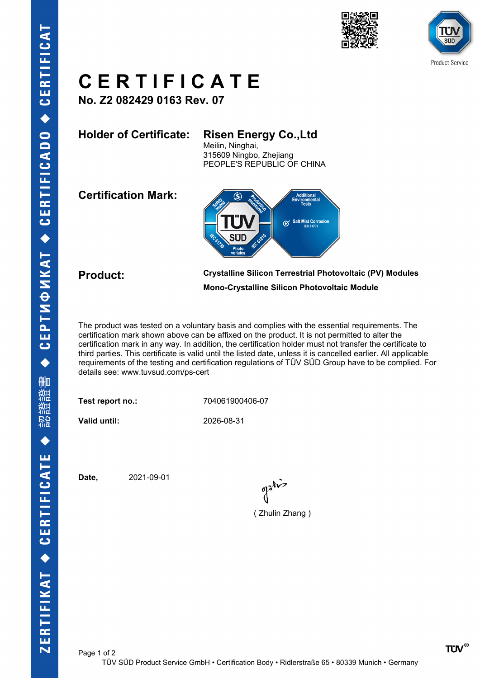



## **C E R T I F I C A T E**

**No. Z2 082429 0163 Rev. 07**

### **Holder of Certificate: Risen Energy Co.,Ltd**

Meilin, Ninghai, 315609 Ningbo, Zhejiang PEOPLE'S REPUBLIC OF CHINA

**Certification Mark:**



**Product: Crystalline Silicon Terrestrial Photovoltaic (PV) Modules Mono-Crystalline Silicon Photovoltaic Module**

The product was tested on a voluntary basis and complies with the essential requirements. The certification mark shown above can be affixed on the product. It is not permitted to alter the certification mark in any way. In addition, the certification holder must not transfer the certificate to third parties. This certificate is valid until the listed date, unless it is cancelled earlier. All applicable requirements of the testing and certification regulations of TÜV SÜD Group have to be complied. For details see: www.tuvsud.com/ps-cert

**Test report no.:** 704061900406-07

**Valid until:** 2026-08-31

**Date,** 2021-09-01

( Zhulin Zhang )